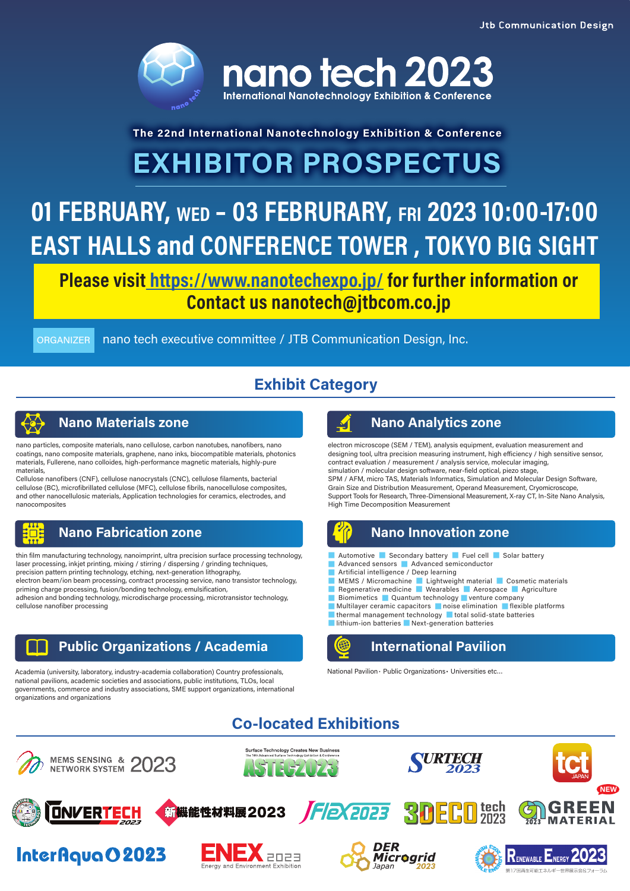

# **The 22nd International Nanotechnology Exhibition & Conference EXHIBITOR PROSPECTUS**

# 01 FEBRUARY, WED - 03 FEBRURARY, FRI 2023 10:00-17:00 EAST HALLS and CONFERENCE TOWER, TOKYO BIG SIGHT

Please visit https://www.nanotechexpo.jp/ for further information or Contact us nanotech@jtbcom.co.jp

ORGANIZER nano tech executive committee / JTB Communication Design, Inc.

# **Exhibit Category**



nano particles, composite materials, nano cellulose, carbon nanotubes, nanofibers, nano coatings, nano composite materials, graphene, nano inks, biocompatible materials, photonics materials, Fullerene, nano colloides, high-performance magnetic materials, highly-pure materials,

Cellulose nanofibers (CNF), cellulose nanocrystals (CNC), cellulose filaments, bacterial cellulose (BC), microfibrillated cellulose (MFC), cellulose fibrils, nanocellulose composites, and other nanocellulosic materials, Application technologies for ceramics, electrodes, and nanocomposites



thin film manufacturing technology, nanoimprint, ultra precision surface processing technology, laser processing, inkjet printing, mixing / stirring / dispersing / grinding techniques, precision pattern printing technology, etching, next-generation lithography, electron beam/ion beam processing, contract processing service, nano transistor technology,

priming charge processing, fusion/bonding technology, emulsification, adhesion and bonding technology, microdischarge processing, microtransistor technology,

cellulose nanofiber processing

### **Public Organizations / Academia**

Academia (university, laboratory, industry-academia collaboration) Country professionals, national pavilions, academic societies and associations, public institutions, TLOs, local governments, commerce and industry associations, SME support organizations, international organizations and organizations

### **Nano Materials zone Nano Analytics zone Nano Analytics zone**

electron microscope (SEM / TEM), analysis equipment, evaluation measurement and designing tool, ultra precision measuring instrument, high efficiency / high sensitive sensor, contract evaluation / measurement / analysis service, molecular imaging, simulation / molecular design software, near-field optical, piezo stage, SPM / AFM, micro TAS, Materials Informatics, Simulation and Molecular Design Software, Grain Size and Distribution Measurement, Operand Measurement, Cryomicroscope, Support Tools for Research, Three-Dimensional Measurement, X-ray CT, In-Site Nano Analysis,



### **Nano Fabrication zone Nano Innovation zone**

- Automotive Secondary battery Fuel cell Solar battery
- Advanced sensors Advanced semiconductor
- Artificial intelligence / Deep learning
- MEMS / Micromachine Lightweight material Cosmetic materials
- Regenerative medicine Wearables Aerospace Agriculture ■ Biomimetics ■ Quantum technology ■ venture company
- Multilayer ceramic capacitors noise elimination flexible platforms
- thermal management technology total solid-state batteries
- lithium-ion batteries Next-generation batteries



### **International Pavilion**

National Pavilion・ Public Organizations・ Universities etc…

# **Co-located Exhibitions**